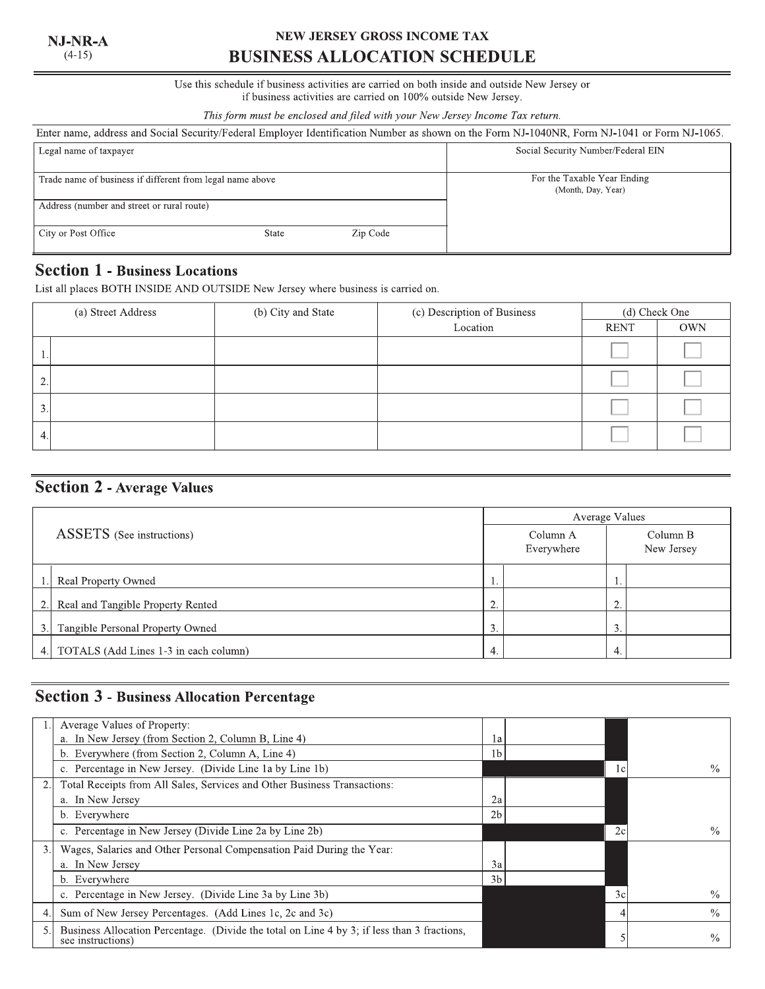#### NJ-NR-A  $(4-15)$

# NEW JERSEY GROSS INCOME TAX **BUSINESS ALLOCATION SCHEDULE**

#### Use this schedule if business activities are carried on both inside and outside New Jersey or if business activities are carried on 100% outside New Jersey.

This form must be enclosed and filed with your New Jersey Income Tax return.

| Enter name, address and Social Security/Federal Employer Identification Number as shown on the Form NJ-1040NR, Form NJ-1041 or Form NJ-1065. |       |                                    |                                                   |  |  |
|----------------------------------------------------------------------------------------------------------------------------------------------|-------|------------------------------------|---------------------------------------------------|--|--|
| Legal name of taxpayer                                                                                                                       |       | Social Security Number/Federal EIN |                                                   |  |  |
| Trade name of business if different from legal name above                                                                                    |       |                                    | For the Taxable Year Ending<br>(Month, Day, Year) |  |  |
| Address (number and street or rural route)                                                                                                   |       |                                    |                                                   |  |  |
| City or Post Office                                                                                                                          | State | Zip Code                           |                                                   |  |  |

# **Section 1 - Business Locations**

List all places BOTH INSIDE AND OUTSIDE New Jersey where business is carried on.

| (a) Street Address | (b) City and State | (c) Description of Business | (d) Check One |            |  |  |
|--------------------|--------------------|-----------------------------|---------------|------------|--|--|
|                    |                    | Location                    | <b>RENT</b>   | <b>OWN</b> |  |  |
|                    |                    |                             |               |            |  |  |
| 2.                 |                    |                             |               |            |  |  |
| 3.                 |                    |                             |               |            |  |  |
| 4.                 |                    |                             |               |            |  |  |

# **Section 2 - Average Values**

|                                  |                                       |                  | Average Values         |                          |  |  |  |
|----------------------------------|---------------------------------------|------------------|------------------------|--------------------------|--|--|--|
| <b>ASSETS</b> (See instructions) |                                       |                  | Column A<br>Everywhere | Column B<br>New Jersey   |  |  |  |
|                                  | Real Property Owned                   | . .              |                        |                          |  |  |  |
| 2.1                              | Real and Tangible Property Rented     | $\bigcirc$<br>٠. |                        | $\sim$                   |  |  |  |
| 3.1                              | Tangible Personal Property Owned      | 3.               |                        | $\mathbf{c}$<br><u>.</u> |  |  |  |
| 4.1                              | TOTALS (Add Lines 1-3 in each column) | 4.               |                        | 4.                       |  |  |  |

# **Section 3 - Business Allocation Percentage**

|    | Average Values of Property:                                                                                      |                |     |               |
|----|------------------------------------------------------------------------------------------------------------------|----------------|-----|---------------|
|    | a. In New Jersey (from Section 2, Column B, Line 4)                                                              | la             |     |               |
|    | b. Everywhere (from Section 2, Column A, Line 4)                                                                 | 1b             |     |               |
|    | c. Percentage in New Jersey. (Divide Line 1a by Line 1b)                                                         |                | 1 c | $\frac{0}{0}$ |
| 2. | Total Receipts from All Sales, Services and Other Business Transactions:                                         |                |     |               |
|    | a. In New Jersey                                                                                                 | 2a             |     |               |
|    | b. Everywhere                                                                                                    | 2 <sub>b</sub> |     |               |
|    | c. Percentage in New Jersey (Divide Line 2a by Line 2b)                                                          |                | 2c  | $\frac{0}{0}$ |
| 3. | Wages, Salaries and Other Personal Compensation Paid During the Year:                                            |                |     |               |
|    | a. In New Jersey                                                                                                 | 3a             |     |               |
|    | b. Everywhere                                                                                                    | 3b             |     |               |
|    | c. Percentage in New Jersey. (Divide Line 3a by Line 3b)                                                         |                | 3c  | $\frac{0}{0}$ |
| 4. | Sum of New Jersey Percentages. (Add Lines 1c, 2c and 3c)                                                         |                |     | $\frac{0}{0}$ |
| 5. | Business Allocation Percentage. (Divide the total on Line 4 by 3; if less than 3 fractions,<br>see instructions) |                |     | $\frac{0}{0}$ |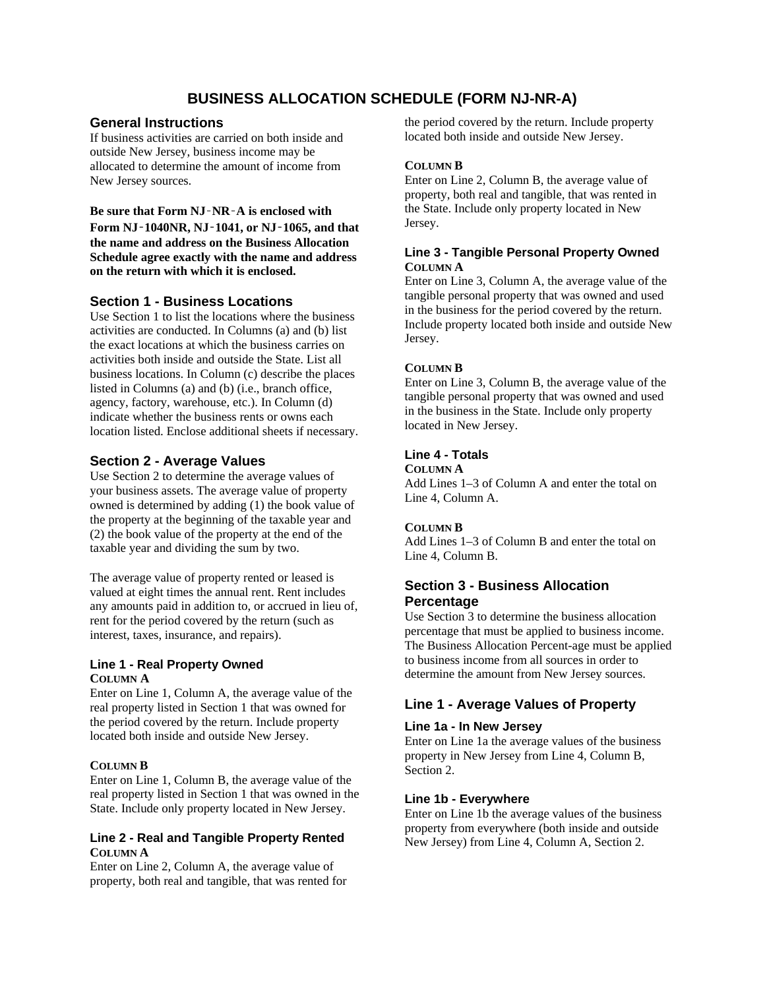# **BUSINESS ALLOCATION SCHEDULE (FORM NJ-NR-A)**

## **General Instructions**

If business activities are carried on both inside and outside New Jersey, business income may be allocated to determine the amount of income from New Jersey sources.

**Be sure that Form NJ**‑**NR**‑**A is enclosed with Form NJ**‑**1040NR, NJ**‑**1041, or NJ**‑**1065, and that the name and address on the Business Allocation Schedule agree exactly with the name and address on the return with which it is enclosed.** 

## **Section 1 - Business Locations**

Use Section 1 to list the locations where the business activities are conducted. In Columns (a) and (b) list the exact locations at which the business carries on activities both inside and outside the State. List all business locations. In Column (c) describe the places listed in Columns (a) and (b) (i.e., branch office, agency, factory, warehouse, etc.). In Column (d) indicate whether the business rents or owns each location listed. Enclose additional sheets if necessary.

## **Section 2 - Average Values**

Use Section 2 to determine the average values of your business assets. The average value of property owned is determined by adding (1) the book value of the property at the beginning of the taxable year and (2) the book value of the property at the end of the taxable year and dividing the sum by two.

The average value of property rented or leased is valued at eight times the annual rent. Rent includes any amounts paid in addition to, or accrued in lieu of, rent for the period covered by the return (such as interest, taxes, insurance, and repairs).

## **Line 1 - Real Property Owned COLUMN A**

Enter on Line 1, Column A, the average value of the real property listed in Section 1 that was owned for the period covered by the return. Include property located both inside and outside New Jersey.

### **COLUMN B**

Enter on Line 1, Column B, the average value of the real property listed in Section 1 that was owned in the State. Include only property located in New Jersey.

### **Line 2 - Real and Tangible Property Rented COLUMN A**

Enter on Line 2, Column A, the average value of property, both real and tangible, that was rented for

the period covered by the return. Include property located both inside and outside New Jersey.

### **COLUMN B**

Enter on Line 2, Column B, the average value of property, both real and tangible, that was rented in the State. Include only property located in New Jersey.

#### **Line 3 - Tangible Personal Property Owned COLUMN A**

Enter on Line 3, Column A, the average value of the tangible personal property that was owned and used in the business for the period covered by the return. Include property located both inside and outside New Jersey.

### **COLUMN B**

Enter on Line 3, Column B, the average value of the tangible personal property that was owned and used in the business in the State. Include only property located in New Jersey.

## **Line 4 - Totals**

**COLUMN A** 

Add Lines 1–3 of Column A and enter the total on Line 4, Column A.

#### **COLUMN B**

Add Lines 1–3 of Column B and enter the total on Line 4, Column B.

## **Section 3 - Business Allocation Percentage**

Use Section 3 to determine the business allocation percentage that must be applied to business income. The Business Allocation Percent-age must be applied to business income from all sources in order to determine the amount from New Jersey sources.

## **Line 1 - Average Values of Property**

### **Line 1a - In New Jersey**

Enter on Line 1a the average values of the business property in New Jersey from Line 4, Column B, Section 2.

### **Line 1b - Everywhere**

Enter on Line 1b the average values of the business property from everywhere (both inside and outside New Jersey) from Line 4, Column A, Section 2.